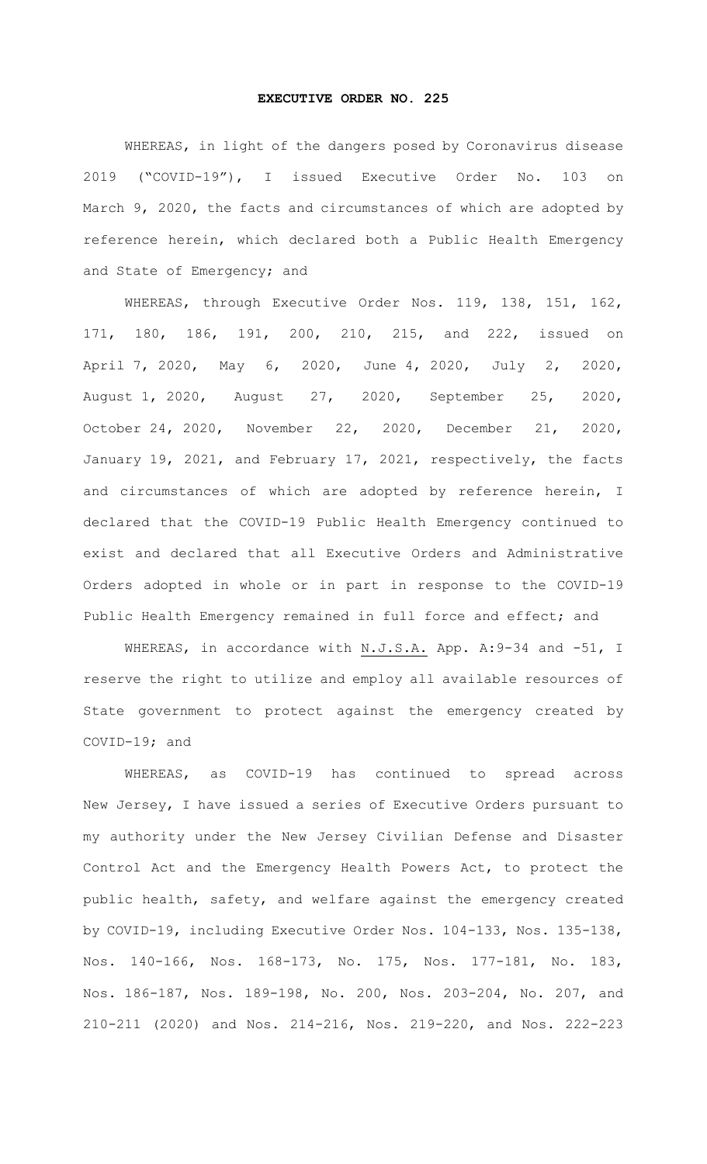## **EXECUTIVE ORDER NO. 225**

WHEREAS, in light of the dangers posed by Coronavirus disease 2019 ("COVID-19"), I issued Executive Order No. 103 on March 9, 2020, the facts and circumstances of which are adopted by reference herein, which declared both a Public Health Emergency and State of Emergency; and

WHEREAS, through Executive Order Nos. 119, 138, 151, 162, 171, 180, 186, 191, 200, 210, 215, and 222, issued on April 7, 2020, May 6, 2020, June 4, 2020, July 2, 2020, August 1, 2020, August 27, 2020, September 25, 2020, October 24, 2020, November 22, 2020, December 21, 2020, January 19, 2021, and February 17, 2021, respectively, the facts and circumstances of which are adopted by reference herein, I declared that the COVID-19 Public Health Emergency continued to exist and declared that all Executive Orders and Administrative Orders adopted in whole or in part in response to the COVID-19 Public Health Emergency remained in full force and effect; and

WHEREAS, in accordance with N.J.S.A. App. A: 9-34 and -51, I reserve the right to utilize and employ all available resources of State government to protect against the emergency created by COVID-19; and

WHEREAS, as COVID-19 has continued to spread across New Jersey, I have issued a series of Executive Orders pursuant to my authority under the New Jersey Civilian Defense and Disaster Control Act and the Emergency Health Powers Act, to protect the public health, safety, and welfare against the emergency created by COVID-19, including Executive Order Nos. 104-133, Nos. 135-138, Nos. 140-166, Nos. 168-173, No. 175, Nos. 177-181, No. 183, Nos. 186-187, Nos. 189-198, No. 200, Nos. 203-204, No. 207, and 210-211 (2020) and Nos. 214-216, Nos. 219-220, and Nos. 222-223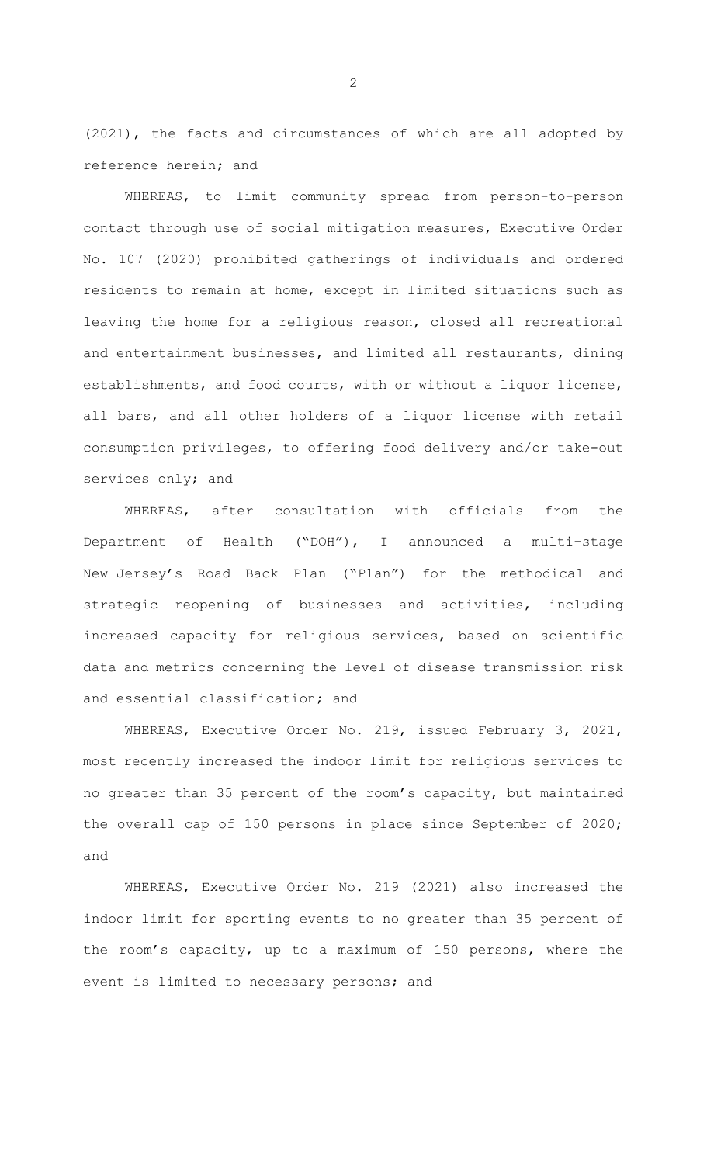(2021), the facts and circumstances of which are all adopted by reference herein; and

WHEREAS, to limit community spread from person-to-person contact through use of social mitigation measures, Executive Order No. 107 (2020) prohibited gatherings of individuals and ordered residents to remain at home, except in limited situations such as leaving the home for a religious reason, closed all recreational and entertainment businesses, and limited all restaurants, dining establishments, and food courts, with or without a liquor license, all bars, and all other holders of a liquor license with retail consumption privileges, to offering food delivery and/or take-out services only; and

WHEREAS, after consultation with officials from the Department of Health ("DOH"), I announced a multi-stage New Jersey's Road Back Plan ("Plan") for the methodical and strategic reopening of businesses and activities, including increased capacity for religious services, based on scientific data and metrics concerning the level of disease transmission risk and essential classification; and

WHEREAS, Executive Order No. 219, issued February 3, 2021, most recently increased the indoor limit for religious services to no greater than 35 percent of the room's capacity, but maintained the overall cap of 150 persons in place since September of 2020; and

WHEREAS, Executive Order No. 219 (2021) also increased the indoor limit for sporting events to no greater than 35 percent of the room's capacity, up to a maximum of 150 persons, where the event is limited to necessary persons; and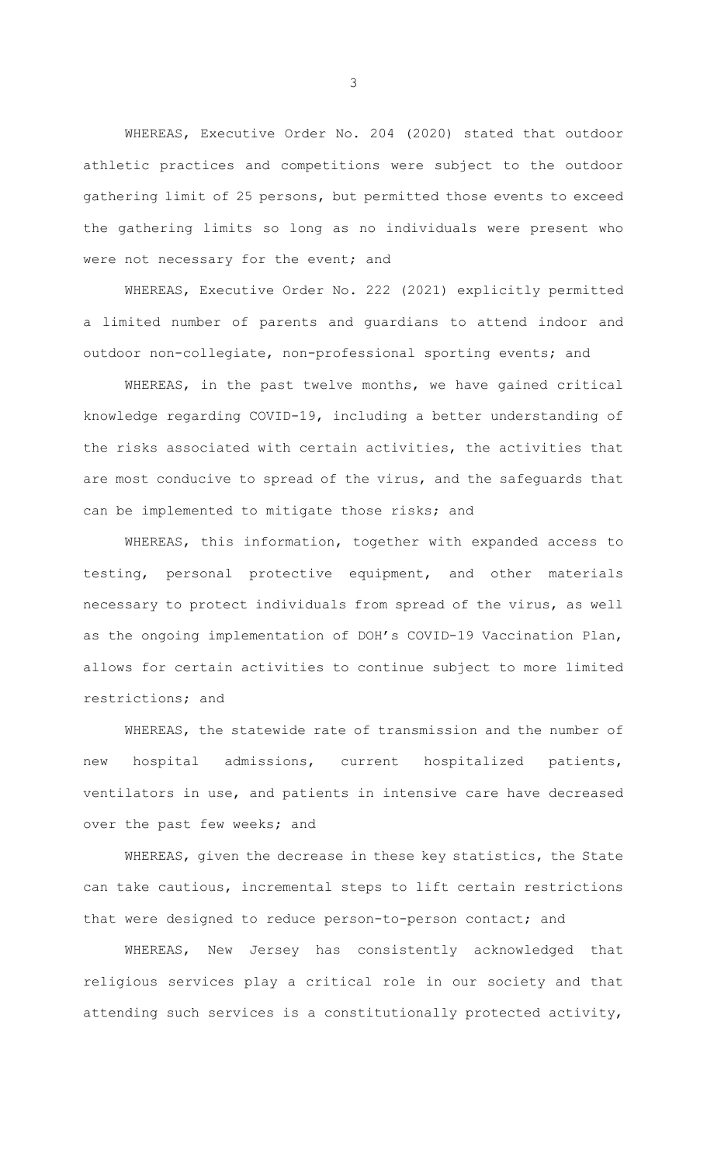WHEREAS, Executive Order No. 204 (2020) stated that outdoor athletic practices and competitions were subject to the outdoor gathering limit of 25 persons, but permitted those events to exceed the gathering limits so long as no individuals were present who were not necessary for the event; and

WHEREAS, Executive Order No. 222 (2021) explicitly permitted a limited number of parents and guardians to attend indoor and outdoor non-collegiate, non-professional sporting events; and

WHEREAS, in the past twelve months, we have gained critical knowledge regarding COVID-19, including a better understanding of the risks associated with certain activities, the activities that are most conducive to spread of the virus, and the safeguards that can be implemented to mitigate those risks; and

WHEREAS, this information, together with expanded access to testing, personal protective equipment, and other materials necessary to protect individuals from spread of the virus, as well as the ongoing implementation of DOH's COVID-19 Vaccination Plan, allows for certain activities to continue subject to more limited restrictions; and

WHEREAS, the statewide rate of transmission and the number of new hospital admissions, current hospitalized patients, ventilators in use, and patients in intensive care have decreased over the past few weeks; and

WHEREAS, given the decrease in these key statistics, the State can take cautious, incremental steps to lift certain restrictions that were designed to reduce person-to-person contact; and

WHEREAS, New Jersey has consistently acknowledged that religious services play a critical role in our society and that attending such services is a constitutionally protected activity,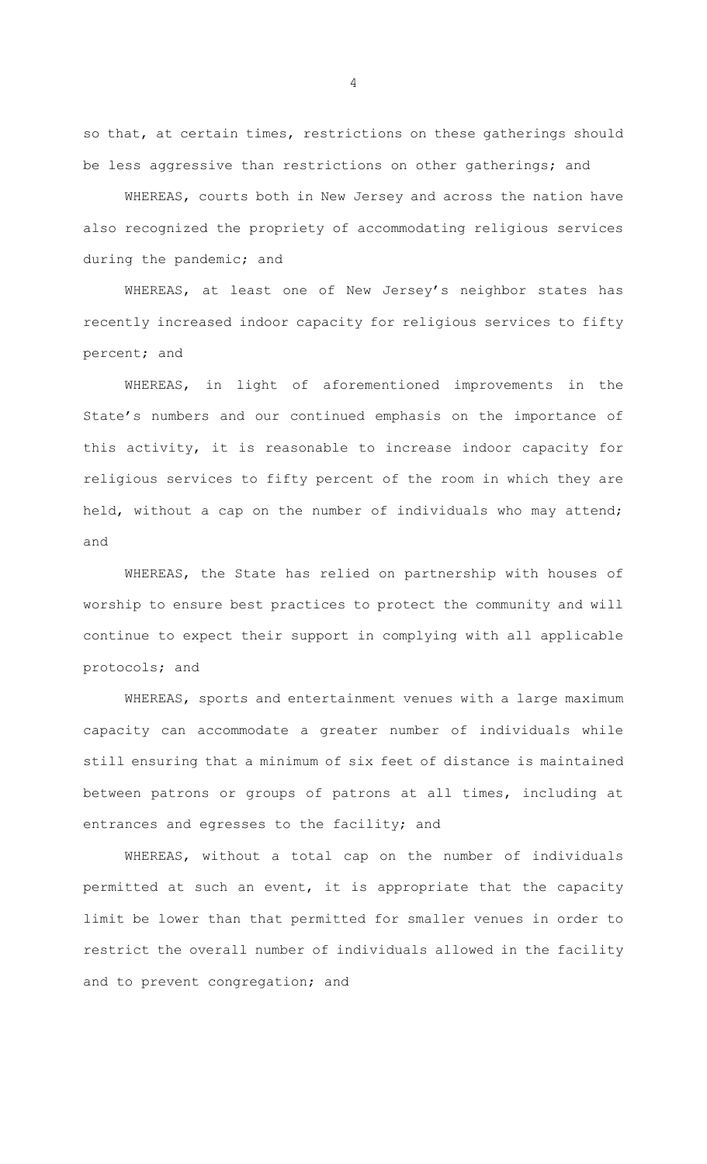so that, at certain times, restrictions on these gatherings should be less aggressive than restrictions on other gatherings; and

WHEREAS, courts both in New Jersey and across the nation have also recognized the propriety of accommodating religious services during the pandemic; and

WHEREAS, at least one of New Jersey's neighbor states has recently increased indoor capacity for religious services to fifty percent; and

WHEREAS, in light of aforementioned improvements in the State's numbers and our continued emphasis on the importance of this activity, it is reasonable to increase indoor capacity for religious services to fifty percent of the room in which they are held, without a cap on the number of individuals who may attend; and

WHEREAS, the State has relied on partnership with houses of worship to ensure best practices to protect the community and will continue to expect their support in complying with all applicable protocols; and

WHEREAS, sports and entertainment venues with a large maximum capacity can accommodate a greater number of individuals while still ensuring that a minimum of six feet of distance is maintained between patrons or groups of patrons at all times, including at entrances and egresses to the facility; and

WHEREAS, without a total cap on the number of individuals permitted at such an event, it is appropriate that the capacity limit be lower than that permitted for smaller venues in order to restrict the overall number of individuals allowed in the facility and to prevent congregation; and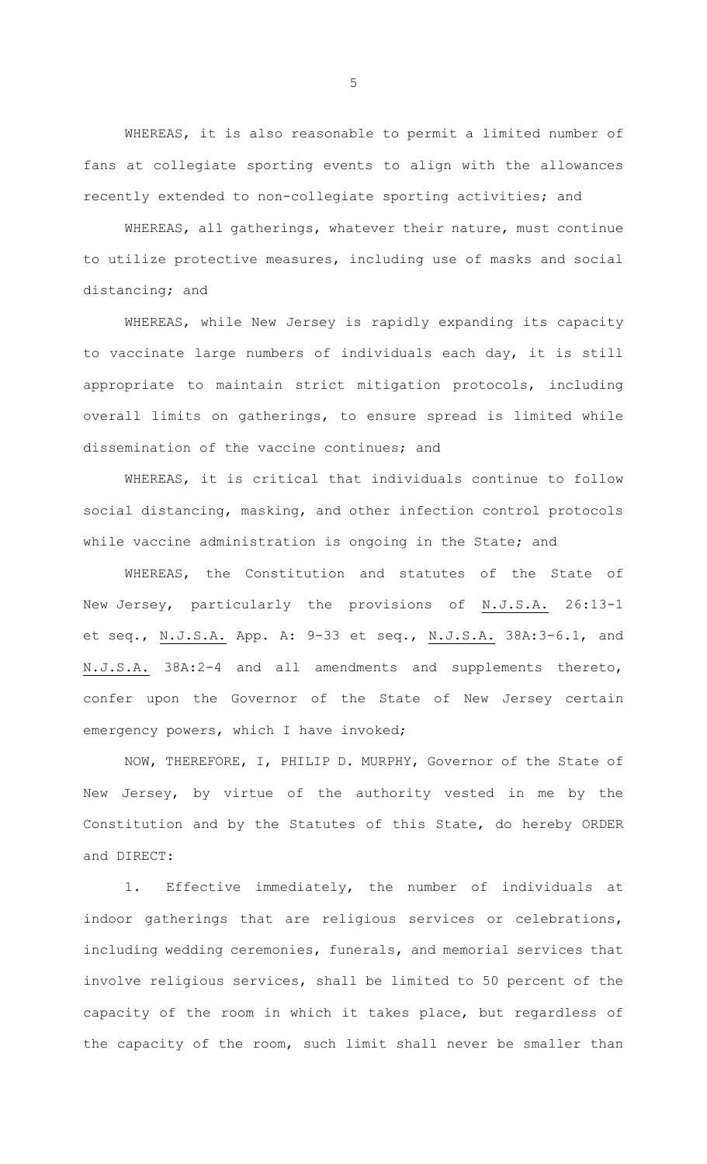WHEREAS, it is also reasonable to permit a limited number of fans at collegiate sporting events to align with the allowances recently extended to non-collegiate sporting activities; and

WHEREAS, all gatherings, whatever their nature, must continue to utilize protective measures, including use of masks and social distancing; and

WHEREAS, while New Jersey is rapidly expanding its capacity to vaccinate large numbers of individuals each day, it is still appropriate to maintain strict mitigation protocols, including overall limits on gatherings, to ensure spread is limited while dissemination of the vaccine continues; and

WHEREAS, it is critical that individuals continue to follow social distancing, masking, and other infection control protocols while vaccine administration is ongoing in the State; and

WHEREAS, the Constitution and statutes of the State of New Jersey, particularly the provisions of N.J.S.A. 26:13-1 et seq., N.J.S.A. App. A: 9-33 et seq., N.J.S.A. 38A:3-6.1, and N.J.S.A. 38A:2-4 and all amendments and supplements thereto, confer upon the Governor of the State of New Jersey certain emergency powers, which I have invoked;

NOW, THEREFORE, I, PHILIP D. MURPHY, Governor of the State of New Jersey, by virtue of the authority vested in me by the Constitution and by the Statutes of this State, do hereby ORDER and DIRECT:

1. Effective immediately, the number of individuals at indoor gatherings that are religious services or celebrations, including wedding ceremonies, funerals, and memorial services that involve religious services, shall be limited to 50 percent of the capacity of the room in which it takes place, but regardless of the capacity of the room, such limit shall never be smaller than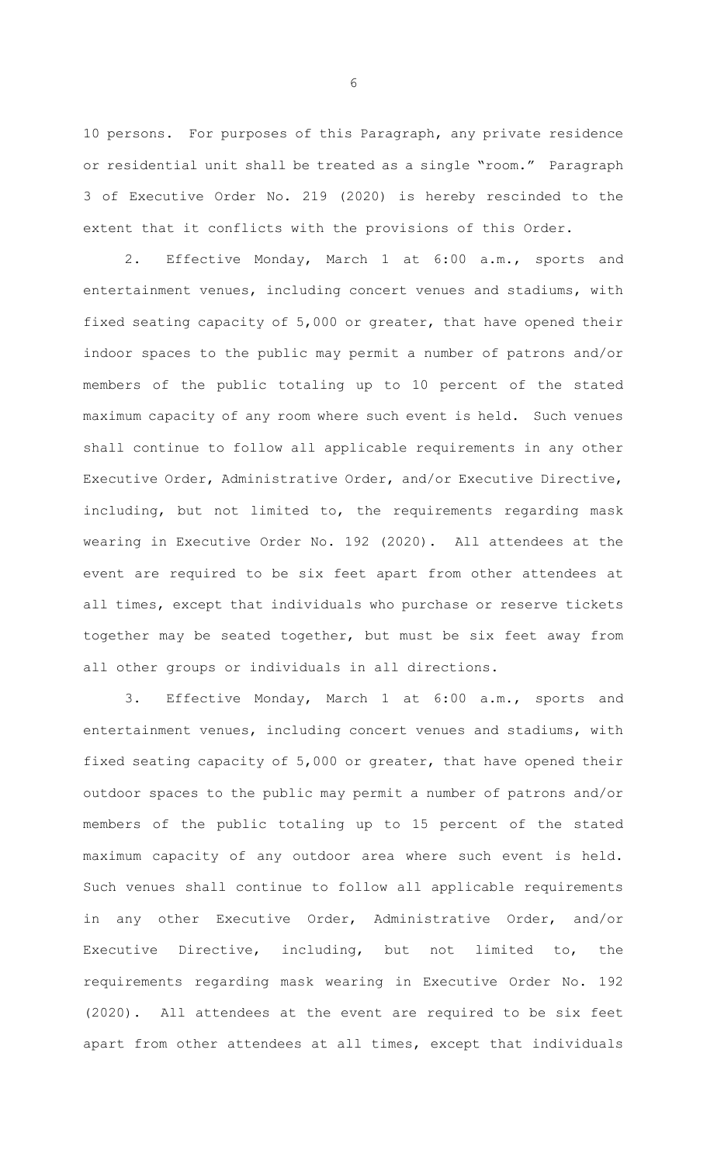10 persons. For purposes of this Paragraph, any private residence or residential unit shall be treated as a single "room." Paragraph 3 of Executive Order No. 219 (2020) is hereby rescinded to the extent that it conflicts with the provisions of this Order.

2. Effective Monday, March 1 at 6:00 a.m., sports and entertainment venues, including concert venues and stadiums, with fixed seating capacity of 5,000 or greater, that have opened their indoor spaces to the public may permit a number of patrons and/or members of the public totaling up to 10 percent of the stated maximum capacity of any room where such event is held. Such venues shall continue to follow all applicable requirements in any other Executive Order, Administrative Order, and/or Executive Directive, including, but not limited to, the requirements regarding mask wearing in Executive Order No. 192 (2020). All attendees at the event are required to be six feet apart from other attendees at all times, except that individuals who purchase or reserve tickets together may be seated together, but must be six feet away from all other groups or individuals in all directions.

3. Effective Monday, March 1 at 6:00 a.m., sports and entertainment venues, including concert venues and stadiums, with fixed seating capacity of 5,000 or greater, that have opened their outdoor spaces to the public may permit a number of patrons and/or members of the public totaling up to 15 percent of the stated maximum capacity of any outdoor area where such event is held. Such venues shall continue to follow all applicable requirements in any other Executive Order, Administrative Order, and/or Executive Directive, including, but not limited to, the requirements regarding mask wearing in Executive Order No. 192 (2020). All attendees at the event are required to be six feet apart from other attendees at all times, except that individuals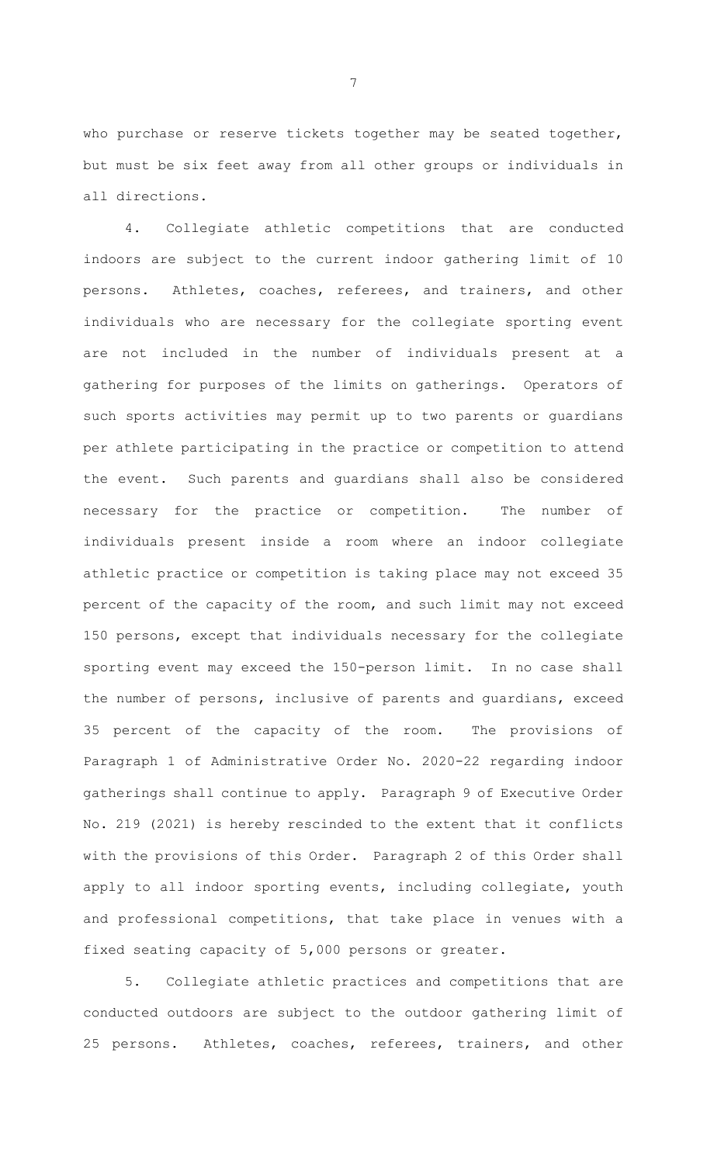who purchase or reserve tickets together may be seated together, but must be six feet away from all other groups or individuals in all directions.

4. Collegiate athletic competitions that are conducted indoors are subject to the current indoor gathering limit of 10 persons. Athletes, coaches, referees, and trainers, and other individuals who are necessary for the collegiate sporting event are not included in the number of individuals present at a gathering for purposes of the limits on gatherings. Operators of such sports activities may permit up to two parents or guardians per athlete participating in the practice or competition to attend the event. Such parents and guardians shall also be considered necessary for the practice or competition. The number of individuals present inside a room where an indoor collegiate athletic practice or competition is taking place may not exceed 35 percent of the capacity of the room, and such limit may not exceed 150 persons, except that individuals necessary for the collegiate sporting event may exceed the 150-person limit. In no case shall the number of persons, inclusive of parents and guardians, exceed 35 percent of the capacity of the room. The provisions of Paragraph 1 of Administrative Order No. 2020-22 regarding indoor gatherings shall continue to apply. Paragraph 9 of Executive Order No. 219 (2021) is hereby rescinded to the extent that it conflicts with the provisions of this Order. Paragraph 2 of this Order shall apply to all indoor sporting events, including collegiate, youth and professional competitions, that take place in venues with a fixed seating capacity of 5,000 persons or greater.

5. Collegiate athletic practices and competitions that are conducted outdoors are subject to the outdoor gathering limit of 25 persons. Athletes, coaches, referees, trainers, and other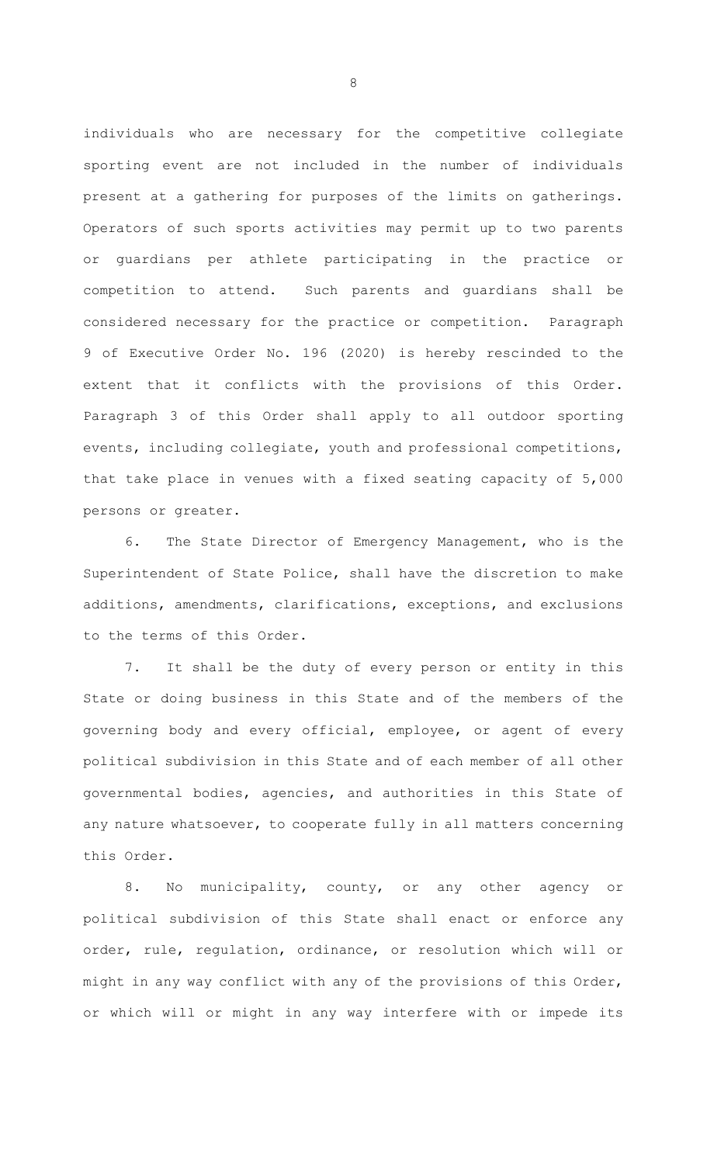individuals who are necessary for the competitive collegiate sporting event are not included in the number of individuals present at a gathering for purposes of the limits on gatherings. Operators of such sports activities may permit up to two parents or guardians per athlete participating in the practice or competition to attend. Such parents and guardians shall be considered necessary for the practice or competition. Paragraph 9 of Executive Order No. 196 (2020) is hereby rescinded to the extent that it conflicts with the provisions of this Order. Paragraph 3 of this Order shall apply to all outdoor sporting events, including collegiate, youth and professional competitions, that take place in venues with a fixed seating capacity of 5,000 persons or greater.

6. The State Director of Emergency Management, who is the Superintendent of State Police, shall have the discretion to make additions, amendments, clarifications, exceptions, and exclusions to the terms of this Order.

7. It shall be the duty of every person or entity in this State or doing business in this State and of the members of the governing body and every official, employee, or agent of every political subdivision in this State and of each member of all other governmental bodies, agencies, and authorities in this State of any nature whatsoever, to cooperate fully in all matters concerning this Order.

8. No municipality, county, or any other agency or political subdivision of this State shall enact or enforce any order, rule, regulation, ordinance, or resolution which will or might in any way conflict with any of the provisions of this Order, or which will or might in any way interfere with or impede its